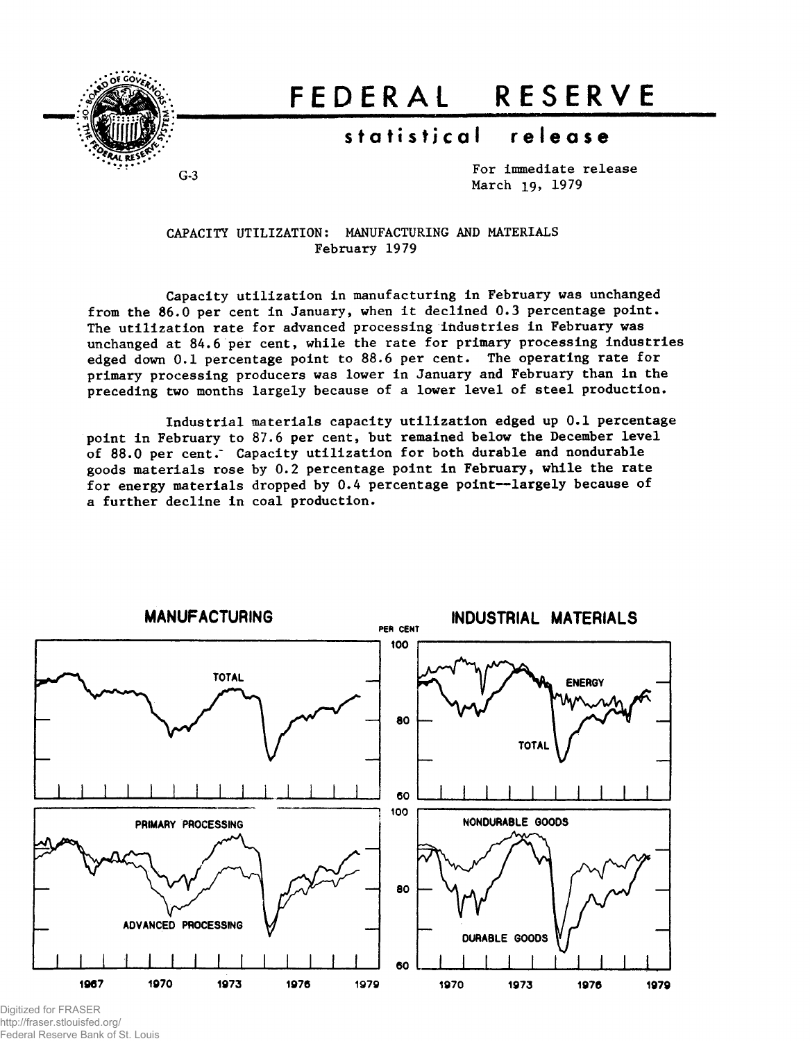

# **FEDERA L RESERV E**

## **statistica l releas e**

For immediate release March 19, 1979

CAPACITY UTILIZATION: MANUFACTURING AND MATERIALS February 1979

Capacity utilization in manufacturing in February was unchanged from the 86.0 per cent in January, when it declined 0.3 percentage point. The utilization rate for advanced processing industries in February was unchanged at 84.6 per cent, while the rate for primary processing industries edged down 0.1 percentage point to 88.6 per cent. The operating rate for primary processing producers was lower in January and February than in the preceding two months largely because of a lower level of steel production.

Industrial materials capacity utilization edged up 0.1 percentage point in February to 87.6 per cent, but remained below the December level of 88.0 per cent. Capacity utilization for both durable and nondurable goods materials rose by 0.2 percentage point in February, while the rate for energy materials dropped by 0.4 percentage point—largely because of a further decline in coal production.



Digitized for FRASER http://fraser.stlouisfed.org/ Federal Reserve Bank of St. Louis